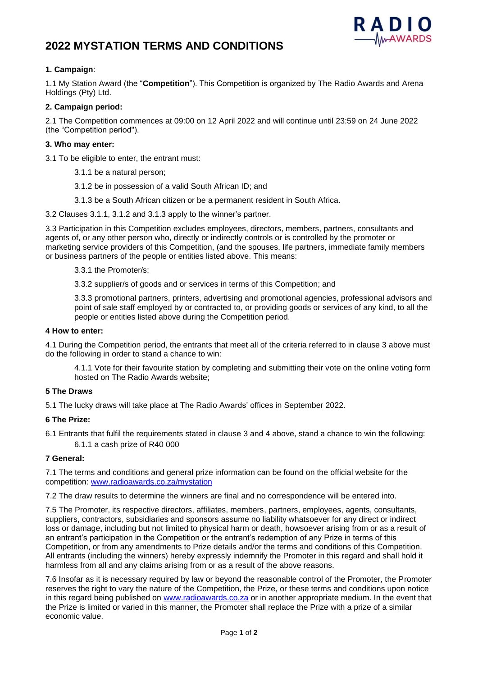# **2022 MYSTATION TERMS AND CONDITIONS**



## **1. Campaign**:

1.1 My Station Award (the "**Competition**"). This Competition is organized by The Radio Awards and Arena Holdings (Pty) Ltd.

### **2. Campaign period:**

2.1 The Competition commences at 09:00 on 12 April 2022 and will continue until 23:59 on 24 June 2022 (the "Competition period").

#### **3. Who may enter:**

3.1 To be eligible to enter, the entrant must:

- 3.1.1 be a natural person;
- 3.1.2 be in possession of a valid South African ID; and
- 3.1.3 be a South African citizen or be a permanent resident in South Africa.

3.2 Clauses 3.1.1, 3.1.2 and 3.1.3 apply to the winner's partner.

3.3 Participation in this Competition excludes employees, directors, members, partners, consultants and agents of, or any other person who, directly or indirectly controls or is controlled by the promoter or marketing service providers of this Competition, (and the spouses, life partners, immediate family members or business partners of the people or entities listed above. This means:

3.3.1 the Promoter/s;

3.3.2 supplier/s of goods and or services in terms of this Competition; and

3.3.3 promotional partners, printers, advertising and promotional agencies, professional advisors and point of sale staff employed by or contracted to, or providing goods or services of any kind, to all the people or entities listed above during the Competition period.

#### **4 How to enter:**

4.1 During the Competition period, the entrants that meet all of the criteria referred to in clause 3 above must do the following in order to stand a chance to win:

4.1.1 Vote for their favourite station by completing and submitting their vote on the online voting form hosted on The Radio Awards website;

#### **5 The Draws**

5.1 The lucky draws will take place at The Radio Awards' offices in September 2022.

#### **6 The Prize:**

6.1 Entrants that fulfil the requirements stated in clause 3 and 4 above, stand a chance to win the following: 6.1.1 a cash prize of R40 000

#### **7 General:**

7.1 The terms and conditions and general prize information can be found on the official website for the competition: [www.radioawards.co.za/](http://www.radioawards.co.za/)mystation

7.2 The draw results to determine the winners are final and no correspondence will be entered into.

7.5 The Promoter, its respective directors, affiliates, members, partners, employees, agents, consultants, suppliers, contractors, subsidiaries and sponsors assume no liability whatsoever for any direct or indirect loss or damage, including but not limited to physical harm or death, howsoever arising from or as a result of an entrant's participation in the Competition or the entrant's redemption of any Prize in terms of this Competition, or from any amendments to Prize details and/or the terms and conditions of this Competition. All entrants (including the winners) hereby expressly indemnify the Promoter in this regard and shall hold it harmless from all and any claims arising from or as a result of the above reasons.

7.6 Insofar as it is necessary required by law or beyond the reasonable control of the Promoter, the Promoter reserves the right to vary the nature of the Competition, the Prize, or these terms and conditions upon notice in this regard being published on [www.radioawards.co.za](http://www.radioawards.co.za/) or in another appropriate medium. In the event that the Prize is limited or varied in this manner, the Promoter shall replace the Prize with a prize of a similar economic value.